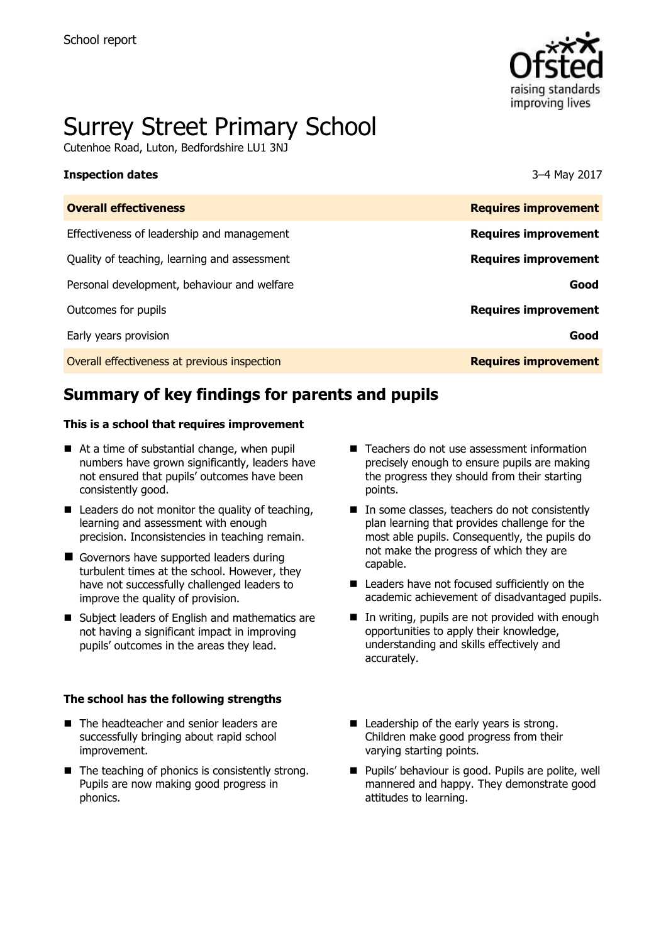

# Surrey Street Primary School

Cutenhoe Road, Luton, Bedfordshire LU1 3NJ

### **Inspection dates** 3–4 May 2017

| <b>Overall effectiveness</b>                 | <b>Requires improvement</b> |
|----------------------------------------------|-----------------------------|
| Effectiveness of leadership and management   | <b>Requires improvement</b> |
| Quality of teaching, learning and assessment | <b>Requires improvement</b> |
| Personal development, behaviour and welfare  | Good                        |
| Outcomes for pupils                          | <b>Requires improvement</b> |
| Early years provision                        | Good                        |
| Overall effectiveness at previous inspection | <b>Requires improvement</b> |
|                                              |                             |

# **Summary of key findings for parents and pupils**

### **This is a school that requires improvement**

- At a time of substantial change, when pupil numbers have grown significantly, leaders have not ensured that pupils' outcomes have been consistently good.
- $\blacksquare$  Leaders do not monitor the quality of teaching, learning and assessment with enough precision. Inconsistencies in teaching remain.
- Governors have supported leaders during turbulent times at the school. However, they have not successfully challenged leaders to improve the quality of provision.
- Subject leaders of English and mathematics are not having a significant impact in improving pupils' outcomes in the areas they lead.

### **The school has the following strengths**

- The headteacher and senior leaders are successfully bringing about rapid school improvement.
- $\blacksquare$  The teaching of phonics is consistently strong. Pupils are now making good progress in phonics.
- Teachers do not use assessment information precisely enough to ensure pupils are making the progress they should from their starting points.
- In some classes, teachers do not consistently plan learning that provides challenge for the most able pupils. Consequently, the pupils do not make the progress of which they are capable.
- Leaders have not focused sufficiently on the academic achievement of disadvantaged pupils.
- $\blacksquare$  In writing, pupils are not provided with enough opportunities to apply their knowledge, understanding and skills effectively and accurately.
- Leadership of the early years is strong. Children make good progress from their varying starting points.
- **Pupils' behaviour is good. Pupils are polite, well** mannered and happy. They demonstrate good attitudes to learning.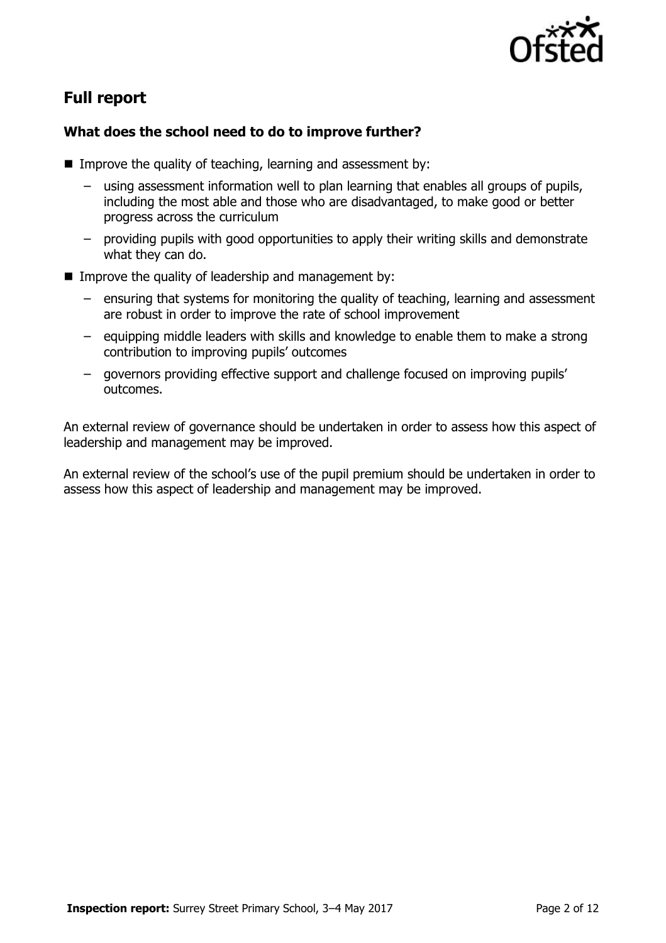

# **Full report**

### **What does the school need to do to improve further?**

- Improve the quality of teaching, learning and assessment by:
	- using assessment information well to plan learning that enables all groups of pupils, including the most able and those who are disadvantaged, to make good or better progress across the curriculum
	- providing pupils with good opportunities to apply their writing skills and demonstrate what they can do.
- **IMPROVE the quality of leadership and management by:** 
	- ensuring that systems for monitoring the quality of teaching, learning and assessment are robust in order to improve the rate of school improvement
	- equipping middle leaders with skills and knowledge to enable them to make a strong contribution to improving pupils' outcomes
	- governors providing effective support and challenge focused on improving pupils' outcomes.

An external review of governance should be undertaken in order to assess how this aspect of leadership and management may be improved.

An external review of the school's use of the pupil premium should be undertaken in order to assess how this aspect of leadership and management may be improved.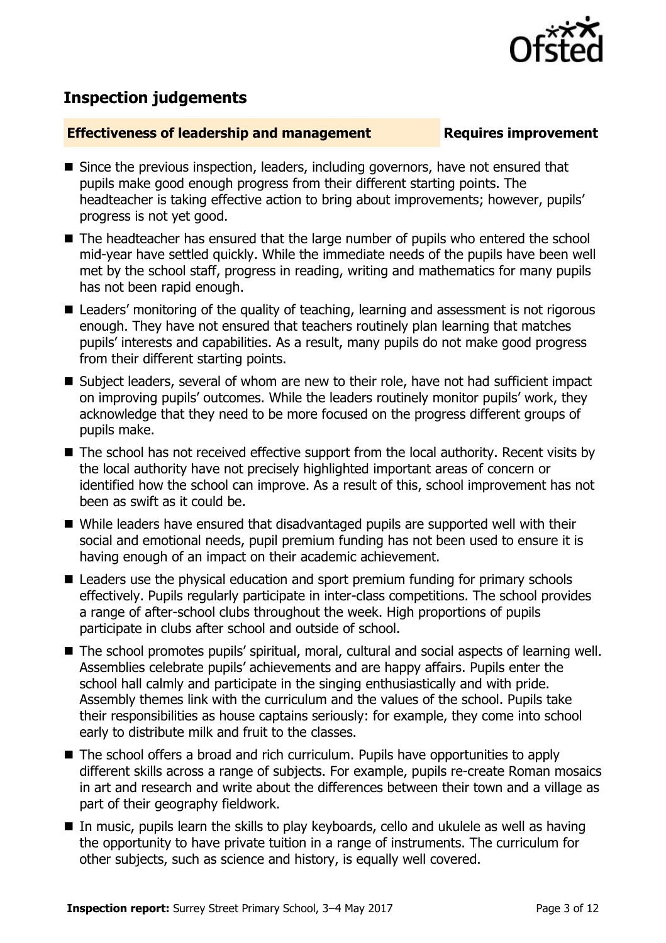

## **Inspection judgements**

### **Effectiveness of leadership and management Requires improvement**

- Since the previous inspection, leaders, including governors, have not ensured that pupils make good enough progress from their different starting points. The headteacher is taking effective action to bring about improvements; however, pupils' progress is not yet good.
- The headteacher has ensured that the large number of pupils who entered the school mid-year have settled quickly. While the immediate needs of the pupils have been well met by the school staff, progress in reading, writing and mathematics for many pupils has not been rapid enough.
- Leaders' monitoring of the quality of teaching, learning and assessment is not rigorous enough. They have not ensured that teachers routinely plan learning that matches pupils' interests and capabilities. As a result, many pupils do not make good progress from their different starting points.
- Subject leaders, several of whom are new to their role, have not had sufficient impact on improving pupils' outcomes. While the leaders routinely monitor pupils' work, they acknowledge that they need to be more focused on the progress different groups of pupils make.
- The school has not received effective support from the local authority. Recent visits by the local authority have not precisely highlighted important areas of concern or identified how the school can improve. As a result of this, school improvement has not been as swift as it could be.
- While leaders have ensured that disadvantaged pupils are supported well with their social and emotional needs, pupil premium funding has not been used to ensure it is having enough of an impact on their academic achievement.
- Leaders use the physical education and sport premium funding for primary schools effectively. Pupils regularly participate in inter-class competitions. The school provides a range of after-school clubs throughout the week. High proportions of pupils participate in clubs after school and outside of school.
- The school promotes pupils' spiritual, moral, cultural and social aspects of learning well. Assemblies celebrate pupils' achievements and are happy affairs. Pupils enter the school hall calmly and participate in the singing enthusiastically and with pride. Assembly themes link with the curriculum and the values of the school. Pupils take their responsibilities as house captains seriously: for example, they come into school early to distribute milk and fruit to the classes.
- The school offers a broad and rich curriculum. Pupils have opportunities to apply different skills across a range of subjects. For example, pupils re-create Roman mosaics in art and research and write about the differences between their town and a village as part of their geography fieldwork.
- In music, pupils learn the skills to play keyboards, cello and ukulele as well as having the opportunity to have private tuition in a range of instruments. The curriculum for other subjects, such as science and history, is equally well covered.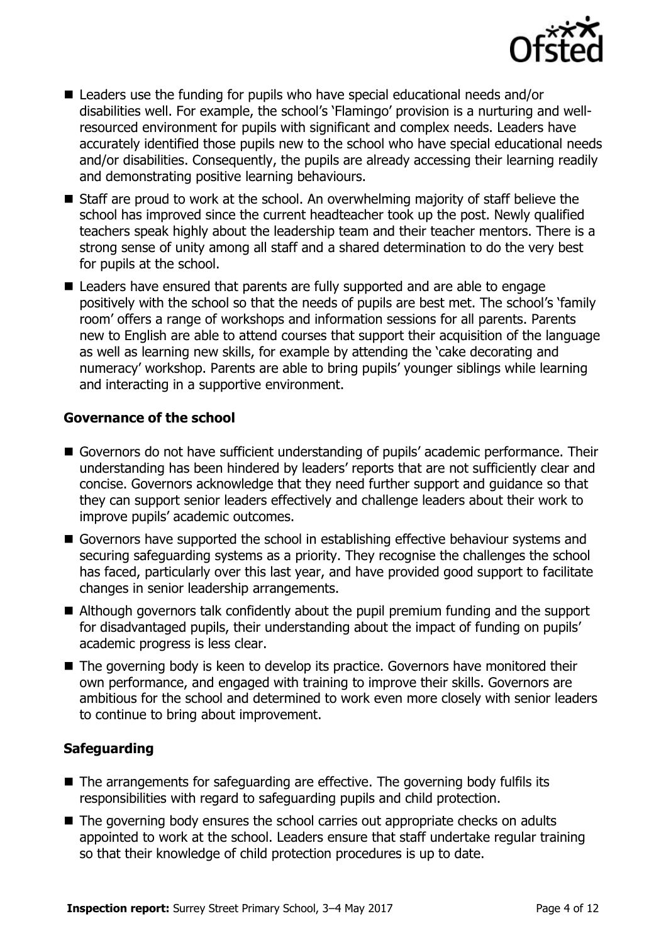

- Leaders use the funding for pupils who have special educational needs and/or disabilities well. For example, the school's 'Flamingo' provision is a nurturing and wellresourced environment for pupils with significant and complex needs. Leaders have accurately identified those pupils new to the school who have special educational needs and/or disabilities. Consequently, the pupils are already accessing their learning readily and demonstrating positive learning behaviours.
- Staff are proud to work at the school. An overwhelming majority of staff believe the school has improved since the current headteacher took up the post. Newly qualified teachers speak highly about the leadership team and their teacher mentors. There is a strong sense of unity among all staff and a shared determination to do the very best for pupils at the school.
- Leaders have ensured that parents are fully supported and are able to engage positively with the school so that the needs of pupils are best met. The school's 'family room' offers a range of workshops and information sessions for all parents. Parents new to English are able to attend courses that support their acquisition of the language as well as learning new skills, for example by attending the 'cake decorating and numeracy' workshop. Parents are able to bring pupils' younger siblings while learning and interacting in a supportive environment.

### **Governance of the school**

- Governors do not have sufficient understanding of pupils' academic performance. Their understanding has been hindered by leaders' reports that are not sufficiently clear and concise. Governors acknowledge that they need further support and guidance so that they can support senior leaders effectively and challenge leaders about their work to improve pupils' academic outcomes.
- Governors have supported the school in establishing effective behaviour systems and securing safeguarding systems as a priority. They recognise the challenges the school has faced, particularly over this last year, and have provided good support to facilitate changes in senior leadership arrangements.
- Although governors talk confidently about the pupil premium funding and the support for disadvantaged pupils, their understanding about the impact of funding on pupils' academic progress is less clear.
- The governing body is keen to develop its practice. Governors have monitored their own performance, and engaged with training to improve their skills. Governors are ambitious for the school and determined to work even more closely with senior leaders to continue to bring about improvement.

### **Safeguarding**

- The arrangements for safeguarding are effective. The governing body fulfils its responsibilities with regard to safeguarding pupils and child protection.
- The governing body ensures the school carries out appropriate checks on adults appointed to work at the school. Leaders ensure that staff undertake regular training so that their knowledge of child protection procedures is up to date.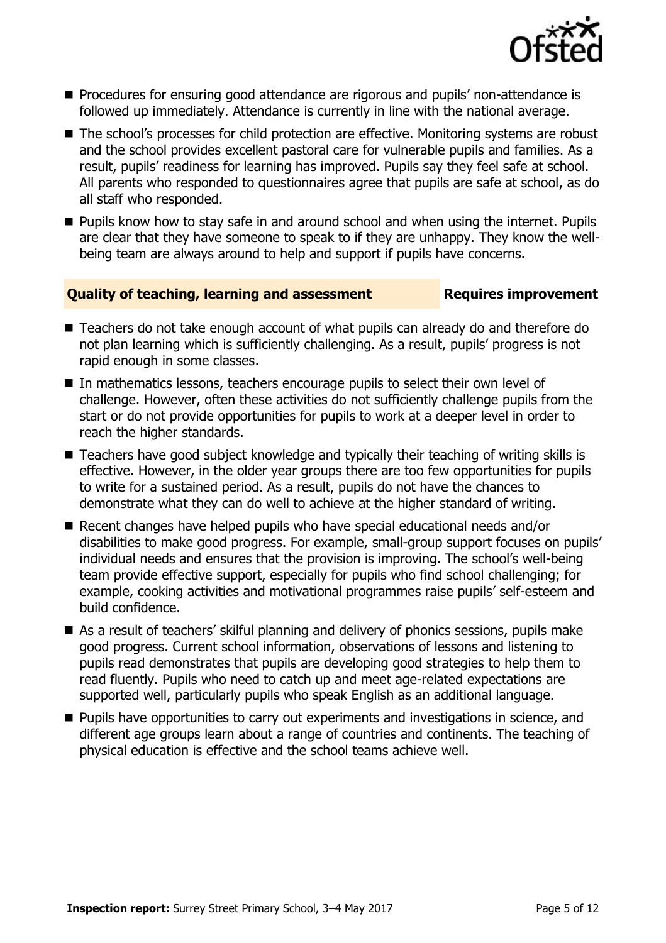

- **Procedures for ensuring good attendance are rigorous and pupils' non-attendance is** followed up immediately. Attendance is currently in line with the national average.
- The school's processes for child protection are effective. Monitoring systems are robust and the school provides excellent pastoral care for vulnerable pupils and families. As a result, pupils' readiness for learning has improved. Pupils say they feel safe at school. All parents who responded to questionnaires agree that pupils are safe at school, as do all staff who responded.
- **Pupils know how to stay safe in and around school and when using the internet. Pupils** are clear that they have someone to speak to if they are unhappy. They know the wellbeing team are always around to help and support if pupils have concerns.

### **Quality of teaching, learning and assessment Requires improvement**

- Teachers do not take enough account of what pupils can already do and therefore do not plan learning which is sufficiently challenging. As a result, pupils' progress is not rapid enough in some classes.
- In mathematics lessons, teachers encourage pupils to select their own level of challenge. However, often these activities do not sufficiently challenge pupils from the start or do not provide opportunities for pupils to work at a deeper level in order to reach the higher standards.
- Teachers have good subject knowledge and typically their teaching of writing skills is effective. However, in the older year groups there are too few opportunities for pupils to write for a sustained period. As a result, pupils do not have the chances to demonstrate what they can do well to achieve at the higher standard of writing.
- Recent changes have helped pupils who have special educational needs and/or disabilities to make good progress. For example, small-group support focuses on pupils' individual needs and ensures that the provision is improving. The school's well-being team provide effective support, especially for pupils who find school challenging; for example, cooking activities and motivational programmes raise pupils' self-esteem and build confidence.
- As a result of teachers' skilful planning and delivery of phonics sessions, pupils make good progress. Current school information, observations of lessons and listening to pupils read demonstrates that pupils are developing good strategies to help them to read fluently. Pupils who need to catch up and meet age-related expectations are supported well, particularly pupils who speak English as an additional language.
- **Pupils have opportunities to carry out experiments and investigations in science, and** different age groups learn about a range of countries and continents. The teaching of physical education is effective and the school teams achieve well.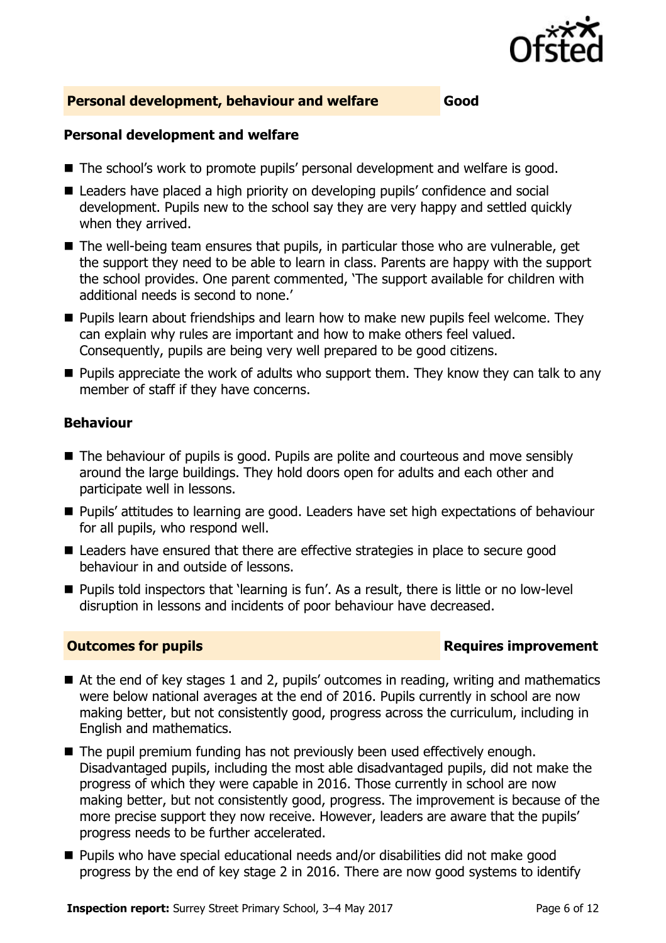

### **Personal development, behaviour and welfare Good**

### **Personal development and welfare**

- The school's work to promote pupils' personal development and welfare is good.
- Leaders have placed a high priority on developing pupils' confidence and social development. Pupils new to the school say they are very happy and settled quickly when they arrived.
- The well-being team ensures that pupils, in particular those who are vulnerable, get the support they need to be able to learn in class. Parents are happy with the support the school provides. One parent commented, 'The support available for children with additional needs is second to none.'
- **Pupils learn about friendships and learn how to make new pupils feel welcome. They** can explain why rules are important and how to make others feel valued. Consequently, pupils are being very well prepared to be good citizens.
- $\blacksquare$  Pupils appreciate the work of adults who support them. They know they can talk to any member of staff if they have concerns.

### **Behaviour**

- The behaviour of pupils is good. Pupils are polite and courteous and move sensibly around the large buildings. They hold doors open for adults and each other and participate well in lessons.
- **Pupils' attitudes to learning are good. Leaders have set high expectations of behaviour** for all pupils, who respond well.
- Leaders have ensured that there are effective strategies in place to secure good behaviour in and outside of lessons.
- Pupils told inspectors that 'learning is fun'. As a result, there is little or no low-level disruption in lessons and incidents of poor behaviour have decreased.

### **Outcomes for pupils Requires improvement**

- At the end of key stages 1 and 2, pupils' outcomes in reading, writing and mathematics were below national averages at the end of 2016. Pupils currently in school are now making better, but not consistently good, progress across the curriculum, including in English and mathematics.
- The pupil premium funding has not previously been used effectively enough. Disadvantaged pupils, including the most able disadvantaged pupils, did not make the progress of which they were capable in 2016. Those currently in school are now making better, but not consistently good, progress. The improvement is because of the more precise support they now receive. However, leaders are aware that the pupils' progress needs to be further accelerated.
- Pupils who have special educational needs and/or disabilities did not make good progress by the end of key stage 2 in 2016. There are now good systems to identify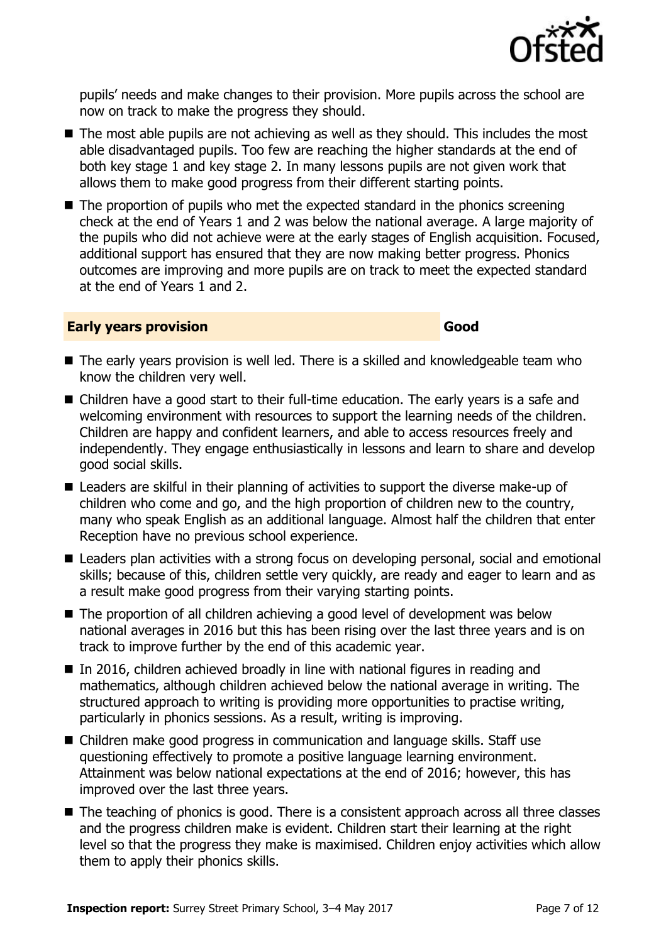

pupils' needs and make changes to their provision. More pupils across the school are now on track to make the progress they should.

- The most able pupils are not achieving as well as they should. This includes the most able disadvantaged pupils. Too few are reaching the higher standards at the end of both key stage 1 and key stage 2. In many lessons pupils are not given work that allows them to make good progress from their different starting points.
- $\blacksquare$  The proportion of pupils who met the expected standard in the phonics screening check at the end of Years 1 and 2 was below the national average. A large majority of the pupils who did not achieve were at the early stages of English acquisition. Focused, additional support has ensured that they are now making better progress. Phonics outcomes are improving and more pupils are on track to meet the expected standard at the end of Years 1 and 2.

### **Early years provision Good Good**

- The early years provision is well led. There is a skilled and knowledgeable team who know the children very well.
- Children have a good start to their full-time education. The early years is a safe and welcoming environment with resources to support the learning needs of the children. Children are happy and confident learners, and able to access resources freely and independently. They engage enthusiastically in lessons and learn to share and develop good social skills.
- Leaders are skilful in their planning of activities to support the diverse make-up of children who come and go, and the high proportion of children new to the country, many who speak English as an additional language. Almost half the children that enter Reception have no previous school experience.
- Leaders plan activities with a strong focus on developing personal, social and emotional skills; because of this, children settle very quickly, are ready and eager to learn and as a result make good progress from their varying starting points.
- The proportion of all children achieving a good level of development was below national averages in 2016 but this has been rising over the last three years and is on track to improve further by the end of this academic year.
- $\blacksquare$  In 2016, children achieved broadly in line with national figures in reading and mathematics, although children achieved below the national average in writing. The structured approach to writing is providing more opportunities to practise writing, particularly in phonics sessions. As a result, writing is improving.
- Children make good progress in communication and language skills. Staff use questioning effectively to promote a positive language learning environment. Attainment was below national expectations at the end of 2016; however, this has improved over the last three years.
- The teaching of phonics is good. There is a consistent approach across all three classes and the progress children make is evident. Children start their learning at the right level so that the progress they make is maximised. Children enjoy activities which allow them to apply their phonics skills.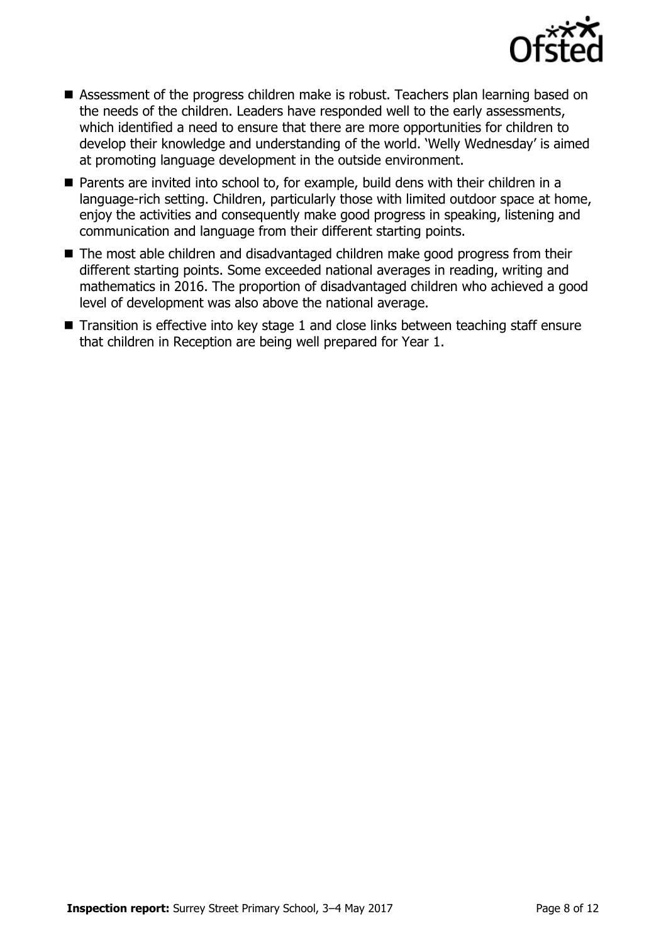

- Assessment of the progress children make is robust. Teachers plan learning based on the needs of the children. Leaders have responded well to the early assessments, which identified a need to ensure that there are more opportunities for children to develop their knowledge and understanding of the world. 'Welly Wednesday' is aimed at promoting language development in the outside environment.
- Parents are invited into school to, for example, build dens with their children in a language-rich setting. Children, particularly those with limited outdoor space at home, enjoy the activities and consequently make good progress in speaking, listening and communication and language from their different starting points.
- The most able children and disadvantaged children make good progress from their different starting points. Some exceeded national averages in reading, writing and mathematics in 2016. The proportion of disadvantaged children who achieved a good level of development was also above the national average.
- Transition is effective into key stage 1 and close links between teaching staff ensure that children in Reception are being well prepared for Year 1.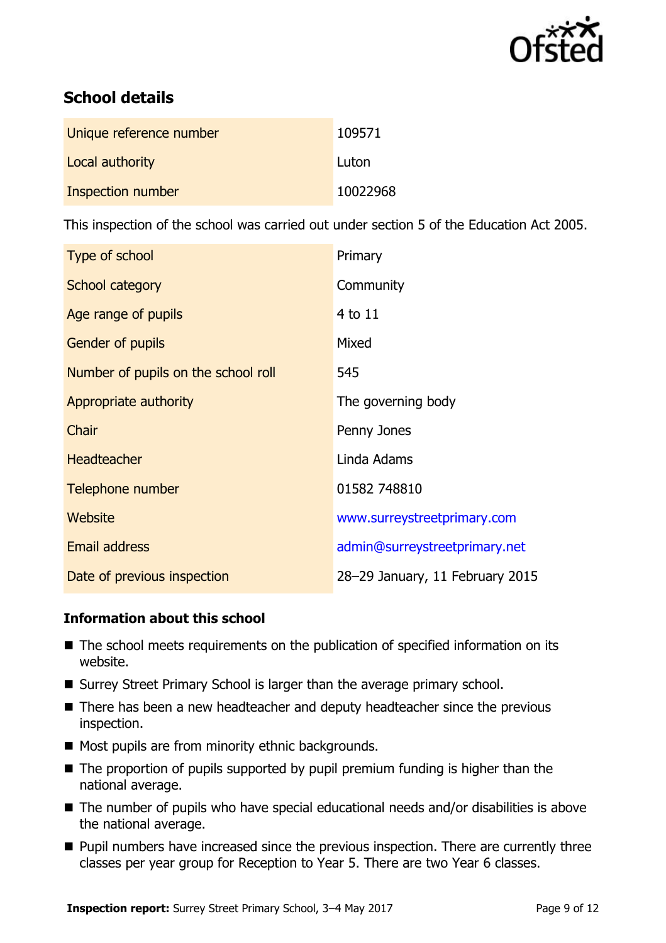

# **School details**

| Unique reference number | 109571   |
|-------------------------|----------|
| Local authority         | Luton    |
| Inspection number       | 10022968 |

This inspection of the school was carried out under section 5 of the Education Act 2005.

| Type of school                      | Primary                         |  |
|-------------------------------------|---------------------------------|--|
| School category                     | Community                       |  |
| Age range of pupils                 | 4 to 11                         |  |
| <b>Gender of pupils</b>             | Mixed                           |  |
| Number of pupils on the school roll | 545                             |  |
| Appropriate authority               | The governing body              |  |
| Chair                               | Penny Jones                     |  |
| <b>Headteacher</b>                  | Linda Adams                     |  |
| Telephone number                    | 01582 748810                    |  |
| Website                             | www.surreystreetprimary.com     |  |
| <b>Email address</b>                | admin@surreystreetprimary.net   |  |
| Date of previous inspection         | 28-29 January, 11 February 2015 |  |

### **Information about this school**

- The school meets requirements on the publication of specified information on its website.
- Surrey Street Primary School is larger than the average primary school.
- There has been a new headteacher and deputy headteacher since the previous inspection.
- Most pupils are from minority ethnic backgrounds.
- The proportion of pupils supported by pupil premium funding is higher than the national average.
- The number of pupils who have special educational needs and/or disabilities is above the national average.
- **Pupil numbers have increased since the previous inspection. There are currently three** classes per year group for Reception to Year 5. There are two Year 6 classes.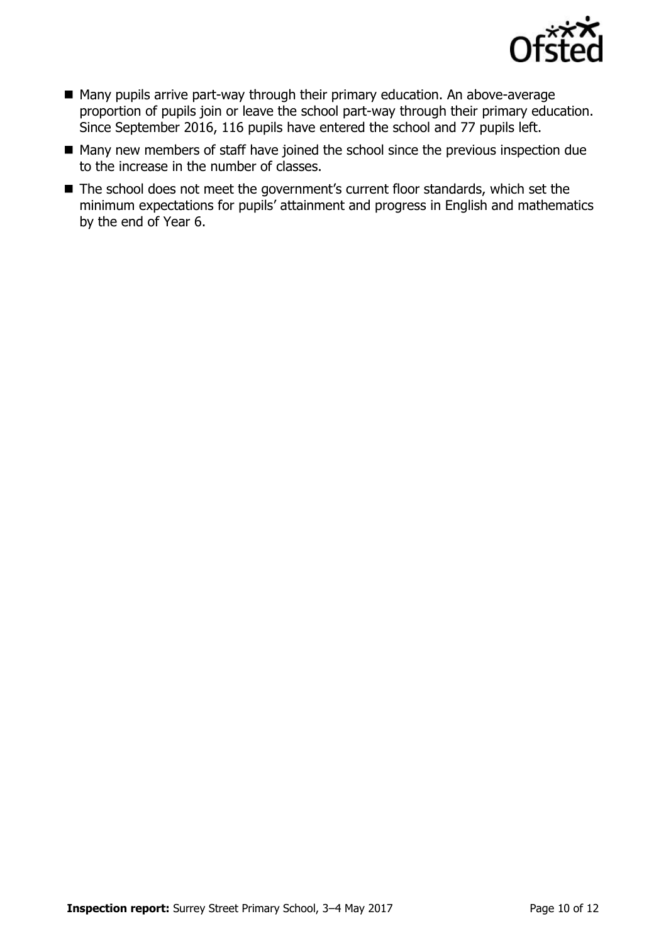

- Many pupils arrive part-way through their primary education. An above-average proportion of pupils join or leave the school part-way through their primary education. Since September 2016, 116 pupils have entered the school and 77 pupils left.
- Many new members of staff have joined the school since the previous inspection due to the increase in the number of classes.
- The school does not meet the government's current floor standards, which set the minimum expectations for pupils' attainment and progress in English and mathematics by the end of Year 6.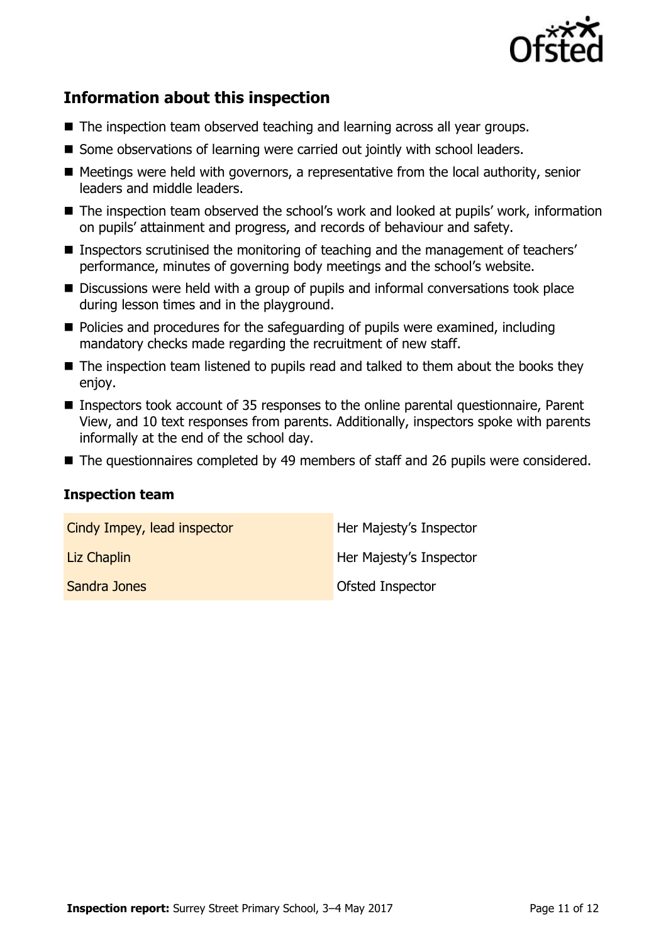

# **Information about this inspection**

- The inspection team observed teaching and learning across all year groups.
- Some observations of learning were carried out jointly with school leaders.
- Meetings were held with governors, a representative from the local authority, senior leaders and middle leaders.
- The inspection team observed the school's work and looked at pupils' work, information on pupils' attainment and progress, and records of behaviour and safety.
- Inspectors scrutinised the monitoring of teaching and the management of teachers' performance, minutes of governing body meetings and the school's website.
- Discussions were held with a group of pupils and informal conversations took place during lesson times and in the playground.
- Policies and procedures for the safeguarding of pupils were examined, including mandatory checks made regarding the recruitment of new staff.
- The inspection team listened to pupils read and talked to them about the books they enjoy.
- Inspectors took account of 35 responses to the online parental questionnaire, Parent View, and 10 text responses from parents. Additionally, inspectors spoke with parents informally at the end of the school day.
- The questionnaires completed by 49 members of staff and 26 pupils were considered.

### **Inspection team**

| Cindy Impey, lead inspector | Her Majesty's Inspector |
|-----------------------------|-------------------------|
| Liz Chaplin                 | Her Majesty's Inspector |
| Sandra Jones                | Ofsted Inspector        |